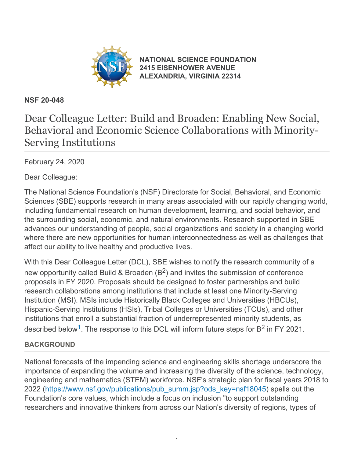

**[NATIONAL SCIENCE FOUNDATION](https://www.nsf.gov/) [2415 EISENHOWER AVENUE](https://www.nsf.gov/) [ALEXANDRIA, VIRGINIA 22314](https://www.nsf.gov/)**

## **NSF 20-048**

# Dear Colleague Letter: Build and Broaden: Enabling New Social, Behavioral and Economic Science Collaborations with Minority-Serving Institutions

February 24, 2020

Dear Colleague:

The National Science Foundation's (NSF) Directorate for Social, Behavioral, and Economic Sciences (SBE) supports research in many areas associated with our rapidly changing world, including fundamental research on human development, learning, and social behavior, and the surrounding social, economic, and natural environments. Research supported in SBE advances our understanding of people, social organizations and society in a changing world where there are new opportunities for human interconnectedness as well as challenges that affect our ability to live healthy and productive lives.

With this Dear Colleague Letter (DCL), SBE wishes to notify the research community of a new opportunity called Build & Broaden  $(B^2)$  and invites the submission of conference proposals in FY 2020. Proposals should be designed to foster partnerships and build research collaborations among institutions that include at least one Minority-Serving Institution (MSI). MSIs include Historically Black Colleges and Universities (HBCUs), Hispanic-Serving Institutions (HSIs), Tribal Colleges or Universities (TCUs), and other institutions that enroll a substantial fraction of underrepresented minority students, as described below<sup>[1](#page-2-0)</sup>. The response to this DCL will inform future steps for  $B^2$  in FY 2021.

## **BACKGROUND**

National forecasts of the impending science and engineering skills shortage underscore the importance of expanding the volume and increasing the diversity of the science, technology, engineering and mathematics (STEM) workforce. NSF's strategic plan for fiscal years 2018 to 2022 [\(https://www.nsf.gov/publications/pub\\_summ.jsp?ods\\_key=nsf18045](https://www.nsf.gov/publications/pub_summ.jsp?ods_key=nsf18045)) spells out the Foundation's core values, which include a focus on inclusion "to support outstanding researchers and innovative thinkers from across our Nation's diversity of regions, types of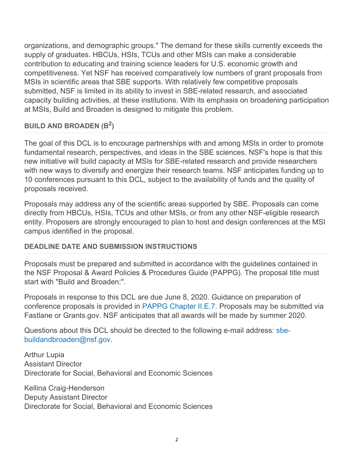organizations, and demographic groups." The demand for these skills currently exceeds the supply of graduates. HBCUs, HSIs, TCUs and other MSIs can make a considerable contribution to educating and training science leaders for U.S. economic growth and competitiveness. Yet NSF has received comparatively low numbers of grant proposals from MSIs in scientific areas that SBE supports. With relatively few competitive proposals submitted, NSF is limited in its ability to invest in SBE-related research, and associated capacity building activities, at these institutions. With its emphasis on broadening participation at MSIs, Build and Broaden is designed to mitigate this problem.

#### **BUILD AND BROADEN (B2)**

The goal of this DCL is to encourage partnerships with and among MSIs in order to promote fundamental research, perspectives, and ideas in the SBE sciences. NSF's hope is that this new initiative will build capacity at MSIs for SBE-related research and provide researchers with new ways to diversify and energize their research teams. NSF anticipates funding up to 10 conferences pursuant to this DCL, subject to the availability of funds and the quality of proposals received.

Proposals may address any of the scientific areas supported by SBE. Proposals can come directly from HBCUs, HSIs, TCUs and other MSIs, or from any other NSF-eligible research entity. Proposers are strongly encouraged to plan to host and design conferences at the MSI campus identified in the proposal.

#### **DEADLINE DATE AND SUBMISSION INSTRUCTIONS**

Proposals must be prepared and submitted in accordance with the guidelines contained in the NSF Proposal & Award Policies & Procedures Guide (PAPPG). The proposal title must start with "Build and Broaden:".

Proposals in response to this DCL are due June 8, 2020. Guidance on preparation of conference proposals is provided in [PAPPG Chapter II.E.7](https://www.nsf.gov/pubs/policydocs/pappg19_1/pappg_2.jsp#IIE7). Proposals may be submitted via Fastlane or Grants.gov. NSF anticipates that all awards will be made by summer 2020.

Questions about this DCL should be directed to the following e-mail address: [sbe](mailto:sbe-buildandbroaden@nsf.gov)[buildandbroaden@nsf.gov](mailto:sbe-buildandbroaden@nsf.gov).

Arthur Lupia Assistant Director Directorate for Social, Behavioral and Economic Sciences

Kellina Craig-Henderson Deputy Assistant Director Directorate for Social, Behavioral and Economic Sciences